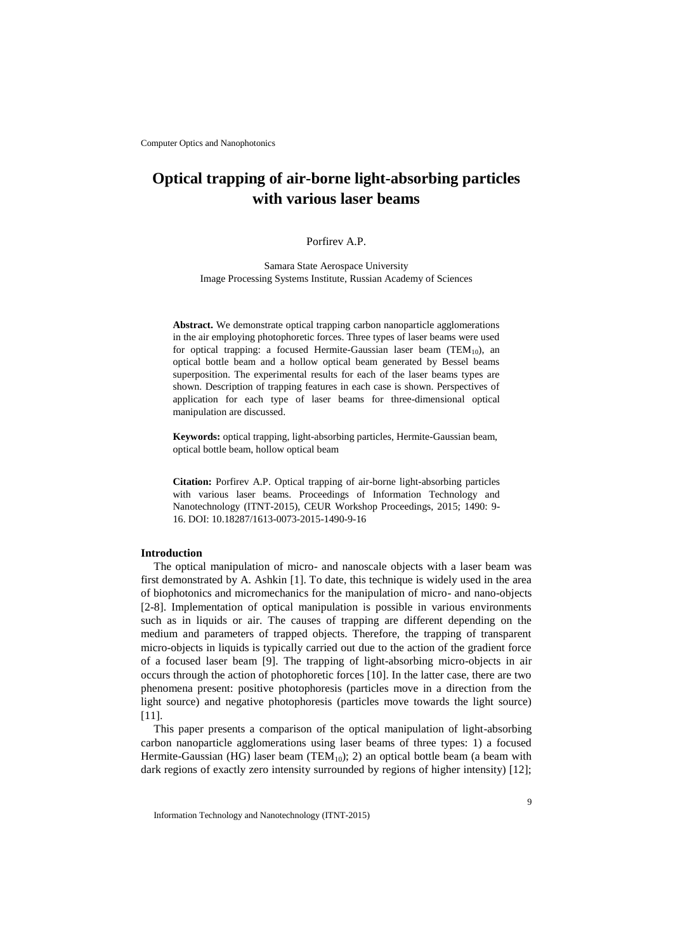# **Optical trapping of air-borne light-absorbing particles with various laser beams**

## Porfirev A.P.

Samara State Aerospace University Image Processing Systems Institute, Russian Academy of Sciences

**Abstract.** We demonstrate optical trapping carbon nanoparticle agglomerations in the air employing photophoretic forces. Three types of laser beams were used for optical trapping: a focused Hermite-Gaussian laser beam (TEM<sub>10</sub>), an optical bottle beam and a hollow optical beam generated by Bessel beams superposition. The experimental results for each of the laser beams types are shown. Description of trapping features in each case is shown. Perspectives of application for each type of laser beams for three-dimensional optical manipulation are discussed.

**Keywords:** optical trapping, light-absorbing particles, Hermite-Gaussian beam, optical bottle beam, hollow optical beam

**Citation:** Porfirev A.P. Optical trapping of air-borne light-absorbing particles with various laser beams. Proceedings of Information Technology and Nanotechnology (ITNT-2015), CEUR Workshop Proceedings, 2015; 1490: 9- 16. DOI: 10.18287/1613-0073-2015-1490-9-16

### **Introduction**

The optical manipulation of micro- and nanoscale objects with a laser beam was first demonstrated by A. Ashkin [1]. To date, this technique is widely used in the area of biophotonics and micromechanics for the manipulation of micro- and nano-objects [2-8]. Implementation of optical manipulation is possible in various environments such as in liquids or air. The causes of trapping are different depending on the medium and parameters of trapped objects. Therefore, the trapping of transparent micro-objects in liquids is typically carried out due to the action of the gradient force of a focused laser beam [9]. The trapping of light-absorbing micro-objects in air occurs through the action of photophoretic forces [10]. In the latter case, there are two phenomena present: positive photophoresis (particles move in a direction from the light source) and negative photophoresis (particles move towards the light source) [11].

This paper presents a comparison of the optical manipulation of light-absorbing carbon nanoparticle agglomerations using laser beams of three types: 1) a focused Hermite-Gaussian (HG) laser beam (TEM<sub>10</sub>); 2) an optical bottle beam (a beam with dark regions of exactly zero intensity surrounded by regions of higher intensity) [12];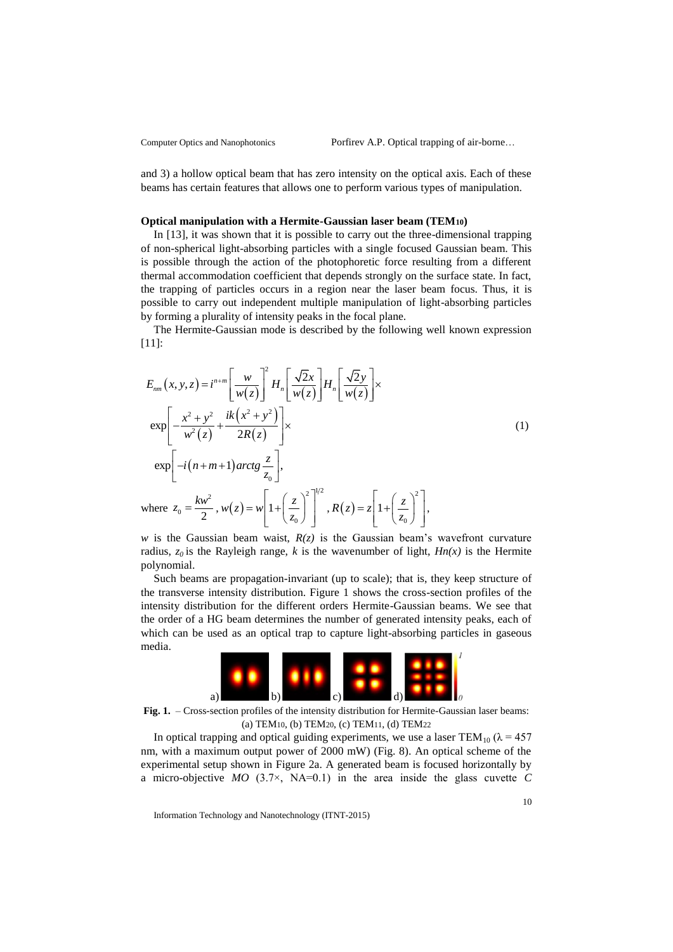and 3) a hollow optical beam that has zero intensity on the optical axis. Each of these beams has certain features that allows one to perform various types of manipulation.

#### **Optical manipulation with a Hermite-Gaussian laser beam (TEM10)**

In [13], it was shown that it is possible to carry out the three-dimensional trapping of non-spherical light-absorbing particles with a single focused Gaussian beam. This is possible through the action of the photophoretic force resulting from a different thermal accommodation coefficient that depends strongly on the surface state. In fact, the trapping of particles occurs in a region near the laser beam focus. Thus, it is possible to carry out independent multiple manipulation of light-absorbing particles by forming a plurality of intensity peaks in the focal plane.

The Hermite-Gaussian mode is described by the following well known expression [11]:

$$
E_{nm}(x, y, z) = i^{n+m} \left[ \frac{w}{w(z)} \right]^2 H_n \left[ \frac{\sqrt{2}x}{w(z)} \right] H_n \left[ \frac{\sqrt{2}y}{w(z)} \right] \times
$$
  
\n
$$
\exp \left[ -\frac{x^2 + y^2}{w^2(z)} + \frac{ik(x^2 + y^2)}{2R(z)} \right] \times
$$
  
\n
$$
\exp \left[ -i(n+m+1) \arctg \frac{z}{z_0} \right],
$$
  
\nwhere  $z_0 = \frac{k w^2}{2}$ ,  $w(z) = w \left[ 1 + \left( \frac{z}{z_0} \right)^2 \right]^{1/2}$ ,  $R(z) = z \left[ 1 + \left( \frac{z}{z_0} \right)^2 \right],$  (1)

*w* is the Gaussian beam waist,  $R(z)$  is the Gaussian beam's wavefront curvature radius,  $z_0$  is the Rayleigh range, *k* is the wavenumber of light,  $Hn(x)$  is the Hermite polynomial.

Such beams are propagation-invariant (up to scale); that is, they keep structure of the transverse intensity distribution. Figure 1 shows the cross-section profiles of the intensity distribution for the different orders Hermite-Gaussian beams. We see that the order of a HG beam determines the number of generated intensity peaks, each of which can be used as an optical trap to capture light-absorbing particles in gaseous media.



**Fig. 1.** – Cross-section profiles of the intensity distribution for Hermite-Gaussian laser beams: (a) TEM10, (b) TEM20, (c) TEM11, (d) TEM22

In optical trapping and optical guiding experiments, we use a laser TEM<sub>10</sub> ( $\lambda$  = 457 nm, with a maximum output power of 2000 mW) (Fig. 8). An optical scheme of the experimental setup shown in Figure 2a. A generated beam is focused horizontally by a micro-objective *MO* (3.7×, NA=0.1) in the area inside the glass cuvette *C*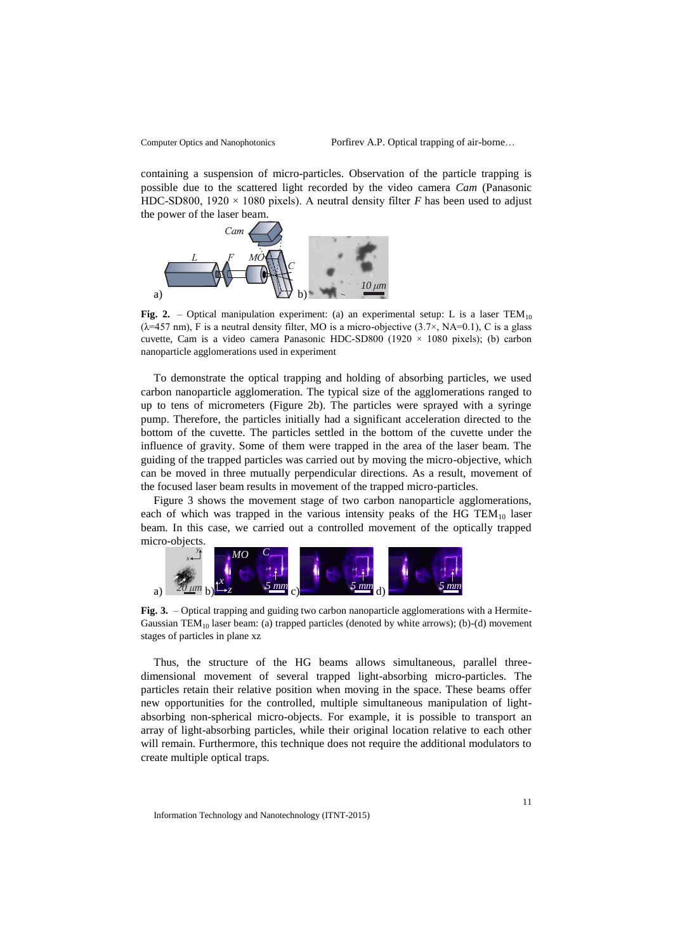containing a suspension of micro-particles. Observation of the particle trapping is possible due to the scattered light recorded by the video camera *Cam* (Panasonic HDC-SD800, 1920  $\times$  1080 pixels). A neutral density filter *F* has been used to adjust the power of the laser beam.



**Fig. 2.** – Optical manipulation experiment: (a) an experimental setup: L is a laser TEM<sub>10</sub>  $(\lambda=457 \text{ nm})$ , F is a neutral density filter, MO is a micro-objective  $(3.7\times, NA=0.1)$ , C is a glass cuvette, Cam is a video camera Panasonic HDC-SD800 (1920 × 1080 pixels); (b) carbon nanoparticle agglomerations used in experiment

To demonstrate the optical trapping and holding of absorbing particles, we used carbon nanoparticle agglomeration. The typical size of the agglomerations ranged to up to tens of micrometers (Figure 2b). The particles were sprayed with a syringe pump. Therefore, the particles initially had a significant acceleration directed to the bottom of the cuvette. The particles settled in the bottom of the cuvette under the influence of gravity. Some of them were trapped in the area of the laser beam. The guiding of the trapped particles was carried out by moving the micro-objective, which can be moved in three mutually perpendicular directions. As a result, movement of the focused laser beam results in movement of the trapped micro-particles.

Figure 3 shows the movement stage of two carbon nanoparticle agglomerations, each of which was trapped in the various intensity peaks of the HG  $TEM_{10}$  laser beam. In this case, we carried out a controlled movement of the optically trapped micro-objects.



**Fig. 3.** – Optical trapping and guiding two carbon nanoparticle agglomerations with a Hermite-Gaussian  $TEM_{10}$  laser beam: (a) trapped particles (denoted by white arrows); (b)-(d) movement stages of particles in plane xz

Thus, the structure of the HG beams allows simultaneous, parallel threedimensional movement of several trapped light-absorbing micro-particles. The particles retain their relative position when moving in the space. These beams offer new opportunities for the controlled, multiple simultaneous manipulation of lightabsorbing non-spherical micro-objects. For example, it is possible to transport an array of light-absorbing particles, while their original location relative to each other will remain. Furthermore, this technique does not require the additional modulators to create multiple optical traps.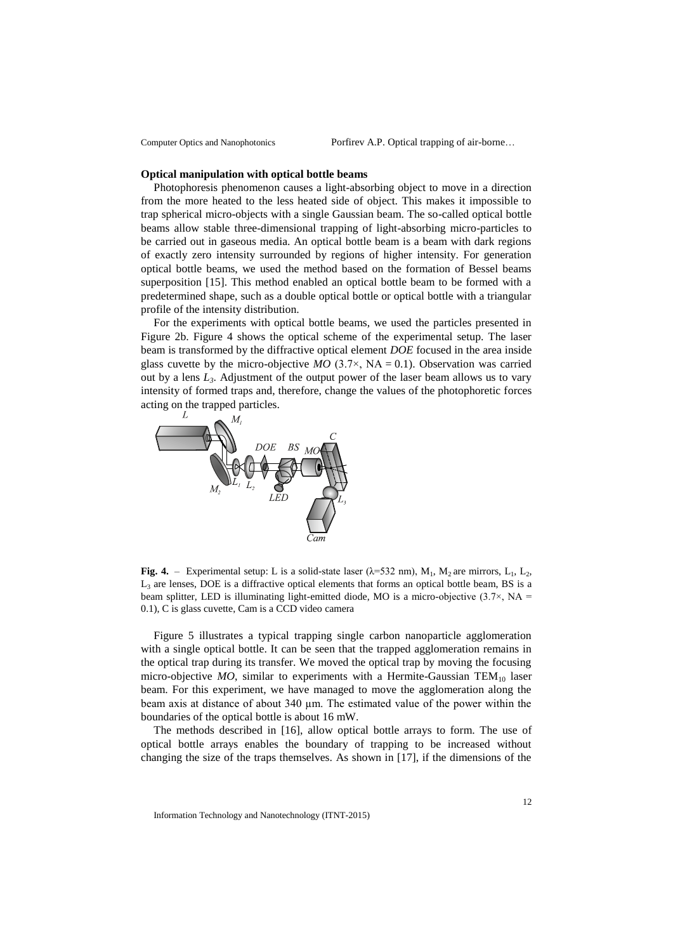#### **Optical manipulation with optical bottle beams**

Photophoresis phenomenon causes a light-absorbing object to move in a direction from the more heated to the less heated side of object. This makes it impossible to trap spherical micro-objects with a single Gaussian beam. The so-called optical bottle beams allow stable three-dimensional trapping of light-absorbing micro-particles to be carried out in gaseous media. An optical bottle beam is a beam with dark regions of exactly zero intensity surrounded by regions of higher intensity. For generation optical bottle beams, we used the method based on the formation of Bessel beams superposition [15]. This method enabled an optical bottle beam to be formed with a predetermined shape, such as a double optical bottle or optical bottle with a triangular profile of the intensity distribution.

For the experiments with optical bottle beams, we used the particles presented in Figure 2b. Figure 4 shows the optical scheme of the experimental setup. The laser beam is transformed by the diffractive optical element *DOE* focused in the area inside glass cuvette by the micro-objective  $MO$  (3.7×, NA = 0.1). Observation was carried out by a lens *L3*. Adjustment of the output power of the laser beam allows us to vary intensity of formed traps and, therefore, change the values of the photophoretic forces acting on the trapped particles.



**Fig. 4.** – Experimental setup: L is a solid-state laser ( $\lambda$ =532 nm), M<sub>1</sub>, M<sub>2</sub> are mirrors, L<sub>1</sub>, L<sub>2</sub>,  $L<sub>3</sub>$  are lenses, DOE is a diffractive optical elements that forms an optical bottle beam, BS is a beam splitter, LED is illuminating light-emitted diode, MO is a micro-objective  $(3.7\times$ , NA = 0.1), C is glass cuvette, Cam is a CCD video camera

Figure 5 illustrates a typical trapping single carbon nanoparticle agglomeration with a single optical bottle. It can be seen that the trapped agglomeration remains in the optical trap during its transfer. We moved the optical trap by moving the focusing micro-objective  $MO$ , similar to experiments with a Hermite-Gaussian  $TEM_{10}$  laser beam. For this experiment, we have managed to move the agglomeration along the beam axis at distance of about  $340 \mu m$ . The estimated value of the power within the boundaries of the optical bottle is about 16 mW.

The methods described in [16], allow optical bottle arrays to form. The use of optical bottle arrays enables the boundary of trapping to be increased without changing the size of the traps themselves. As shown in [17], if the dimensions of the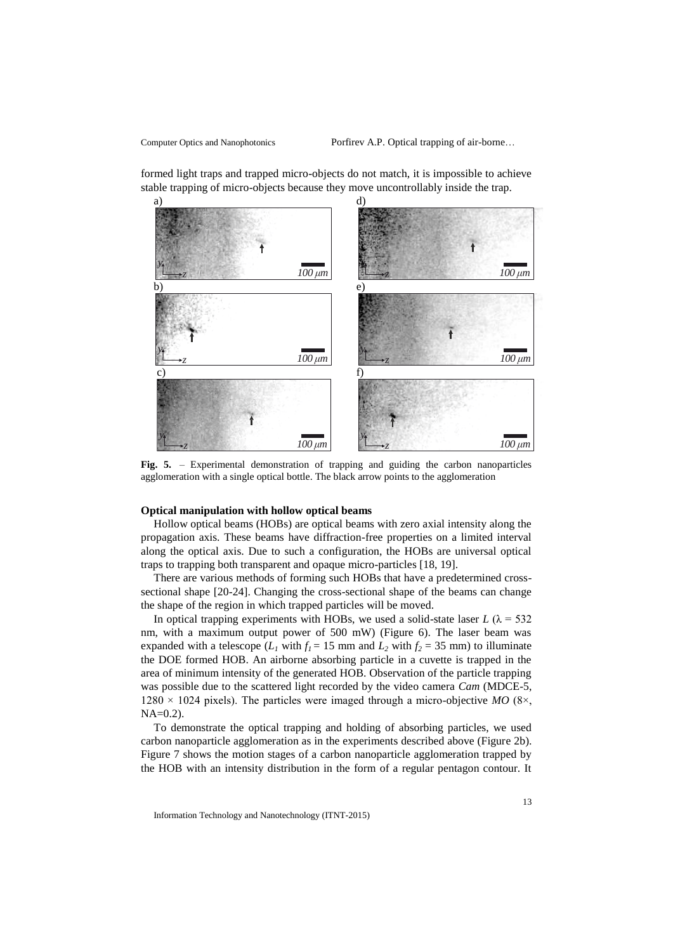formed light traps and trapped micro-objects do not match, it is impossible to achieve stable trapping of micro-objects because they move uncontrollably inside the trap.



Fig. 5. – Experimental demonstration of trapping and guiding the carbon nanoparticles agglomeration with a single optical bottle. The black arrow points to the agglomeration

#### **Optical manipulation with hollow optical beams**

Hollow optical beams (HOBs) are optical beams with zero axial intensity along the propagation axis. These beams have diffraction-free properties on a limited interval along the optical axis. Due to such a configuration, the HOBs are universal optical traps to trapping both transparent and opaque micro-particles [18, 19].

There are various methods of forming such HOBs that have a predetermined crosssectional shape [20-24]. Changing the cross-sectional shape of the beams can change the shape of the region in which trapped particles will be moved.

In optical trapping experiments with HOBs, we used a solid-state laser  $L(\lambda = 532$ nm, with a maximum output power of 500 mW) (Figure 6). The laser beam was expanded with a telescope ( $L_I$  with  $f_I = 15$  mm and  $L_2$  with  $f_2 = 35$  mm) to illuminate the DOE formed HOB. An airborne absorbing particle in a cuvette is trapped in the area of minimum intensity of the generated HOB. Observation of the particle trapping was possible due to the scattered light recorded by the video camera *Cam* (MDCE-5,  $1280 \times 1024$  pixels). The particles were imaged through a micro-objective *MO* (8 $\times$ ,  $NA=0.2$ ).

To demonstrate the optical trapping and holding of absorbing particles, we used carbon nanoparticle agglomeration as in the experiments described above (Figure 2b). Figure 7 shows the motion stages of a carbon nanoparticle agglomeration trapped by the HOB with an intensity distribution in the form of a regular pentagon contour. It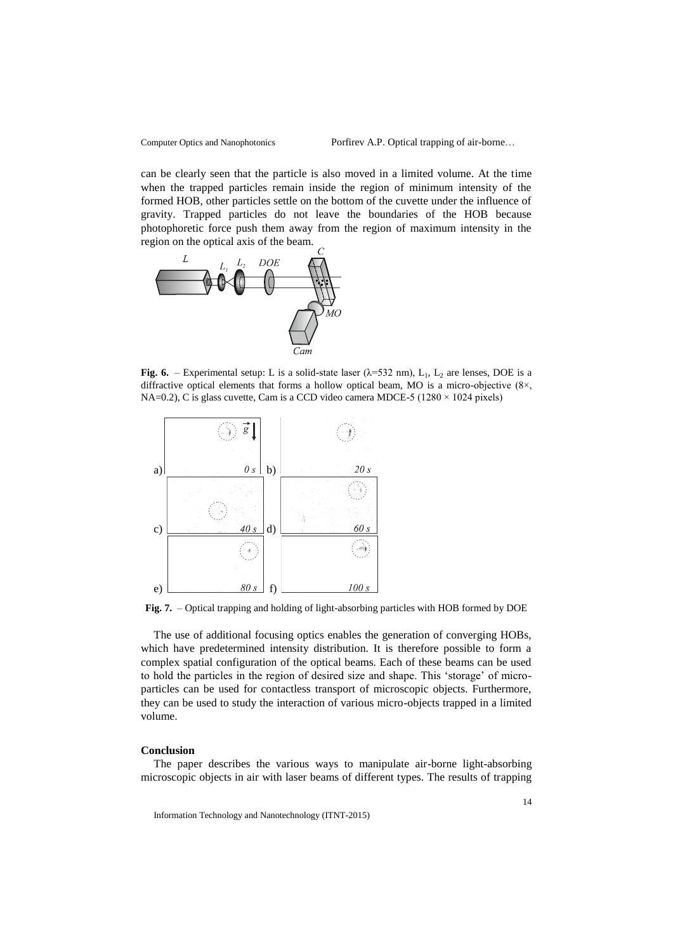can be clearly seen that the particle is also moved in a limited volume. At the time when the trapped particles remain inside the region of minimum intensity of the formed HOB, other particles settle on the bottom of the cuvette under the influence of gravity. Trapped particles do not leave the boundaries of the HOB because photophoretic force push them away from the region of maximum intensity in the region on the optical axis of the beam.



**Fig. 6.** – Experimental setup: L is a solid-state laser  $(\lambda=532 \text{ nm})$ , L<sub>1</sub>, L<sub>2</sub> are lenses, DOE is a diffractive optical elements that forms a hollow optical beam, MO is a micro-objective (8×, NA=0.2), C is glass cuvette, Cam is a CCD video camera MDCE-5 ( $1280 \times 1024$  pixels)



**Fig. 7.** – Optical trapping and holding of light-absorbing particles with HOB formed by DOE

The use of additional focusing optics enables the generation of converging HOBs, which have predetermined intensity distribution. It is therefore possible to form a complex spatial configuration of the optical beams. Each of these beams can be used to hold the particles in the region of desired size and shape. This 'storage' of microparticles can be used for contactless transport of microscopic objects. Furthermore, they can be used to study the interaction of various micro-objects trapped in a limited volume.

#### **Conclusion**

The paper describes the various ways to manipulate air-borne light-absorbing microscopic objects in air with laser beams of different types. The results of trapping

Information Technology and Nanotechnology (ITNT-2015)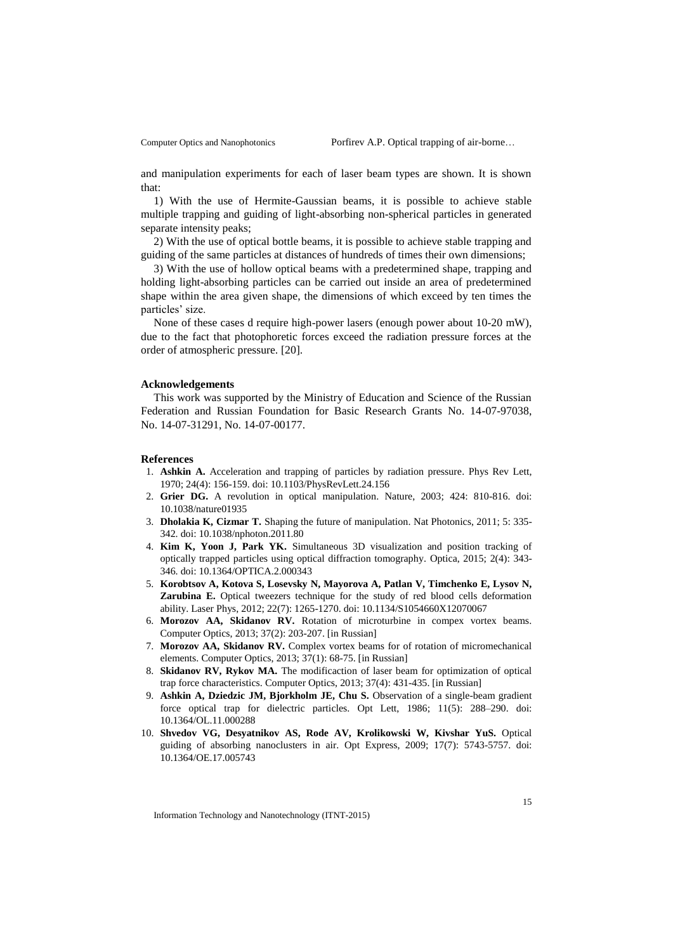and manipulation experiments for each of laser beam types are shown. It is shown that:

1) With the use of Hermite-Gaussian beams, it is possible to achieve stable multiple trapping and guiding of light-absorbing non-spherical particles in generated separate intensity peaks;

2) With the use of optical bottle beams, it is possible to achieve stable trapping and guiding of the same particles at distances of hundreds of times their own dimensions;

3) With the use of hollow optical beams with a predetermined shape, trapping and holding light-absorbing particles can be carried out inside an area of predetermined shape within the area given shape, the dimensions of which exceed by ten times the particles' size.

None of these cases d require high-power lasers (enough power about 10-20 mW), due to the fact that photophoretic forces exceed the radiation pressure forces at the order of atmospheric pressure. [20].

#### **Acknowledgements**

This work was supported by the Ministry of Education and Science of the Russian Federation and Russian Foundation for Basic Research Grants No. 14-07-97038, No. 14-07-31291, No. 14-07-00177.

#### **References**

- 1. **Ashkin A.** Acceleration and trapping of particles by radiation pressure. Phys Rev Lett, 1970; 24(4): 156-159. doi: 10.1103/PhysRevLett.24.156
- 2. **Grier DG.** A revolution in optical manipulation. Nature, 2003; 424: 810-816. doi: 10.1038/nature01935
- 3. **Dholakia K, Cizmar T.** Shaping the future of manipulation. Nat Photonics, 2011; 5: 335- 342. doi: 10.1038/nphoton.2011.80
- 4. **Kim K, Yoon J, Park YK.** Simultaneous 3D visualization and position tracking of optically trapped particles using optical diffraction tomography. Optica, 2015; 2(4): 343- 346. doi: 10.1364/OPTICA.2.000343
- 5. **Korobtsov A, Kotova S, Losevsky N, Mayorova A, Patlan V, Timchenko E, Lysov N, Zarubina E.** Optical tweezers technique for the study of red blood cells deformation ability. Laser Phys, 2012; 22(7): 1265-1270. doi: 10.1134/S1054660X12070067
- 6. **Morozov AA, Skidanov RV.** Rotation of microturbine in compex vortex beams. Computer Optics, 2013; 37(2): 203-207. [in Russian]
- 7. **Morozov AA, Skidanov RV.** Complex vortex beams for of rotation of micromechanical elements. Computer Optics, 2013; 37(1): 68-75. [in Russian]
- 8. **Skidanov RV, Rykov MA.** The modificaction of laser beam for optimization of optical trap force characteristics. Computer Optics, 2013; 37(4): 431-435. [in Russian]
- 9. **Ashkin A, Dziedzic JM, Bjorkholm JE, Chu S.** Observation of a single-beam gradient force optical trap for dielectric particles. Opt Lett, 1986; 11(5): 288–290. doi: 10.1364/OL.11.000288
- 10. **Shvedov VG, Desyatnikov AS, Rode AV, Krolikowski W, Kivshar YuS.** Optical guiding of absorbing nanoclusters in air. Opt Express, 2009; 17(7): 5743-5757. doi: 10.1364/OE.17.005743